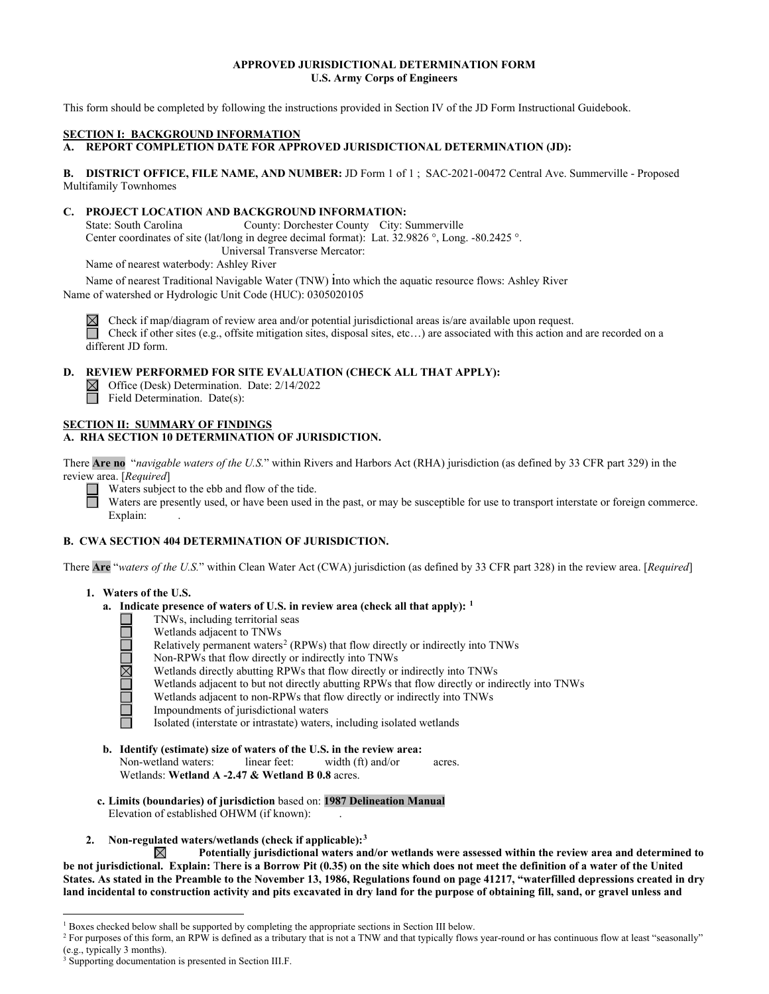# **APPROVED JURISDICTIONAL DETERMINATION FORM U.S. Army Corps of Engineers**

This form should be completed by following the instructions provided in Section IV of the JD Form Instructional Guidebook.

#### **SECTION I: BACKGROUND INFORMATION**

# **A. REPORT COMPLETION DATE FOR APPROVED JURISDICTIONAL DETERMINATION (JD):**

**B. DISTRICT OFFICE, FILE NAME, AND NUMBER:** JD Form 1 of 1 ; SAC-2021-00472 Central Ave. Summerville - Proposed Multifamily Townhomes

## **C. PROJECT LOCATION AND BACKGROUND INFORMATION:**

 Center coordinates of site (lat/long in degree decimal format): Lat. 32.9826 °, Long. -80.2425 °. State: South Carolina County: Dorchester County City: Summerville Universal Transverse Mercator:

Name of nearest waterbody: Ashley River

 Name of watershed or Hydrologic Unit Code (HUC): 0305020105 Name of nearest Traditional Navigable Water (TNW) into which the aquatic resource flows: Ashley River

 Check if map/diagram of review area and/or potential jurisdictional areas is/are available upon request. Check if other sites (e.g., offsite mitigation sites, disposal sites, etc…) are associated with this action and are recorded on a different JD form.

# **D. REVIEW PERFORMED FOR SITE EVALUATION (CHECK ALL THAT APPLY):**

Office (Desk) Determination. Date: 2/14/2022 Field Determination. Date(s):

# **SECTION II: SUMMARY OF FINDINGS**

# **A. RHA SECTION 10 DETERMINATION OF JURISDICTION.**

review area. [Required] **TION I**<br> **HA SE**<br> **Are no<br>** *L* area.<br>
Wa<br>
Wa There **Are no** "*navigable waters of the U.S.*" within Rivers and Harbors Act (RHA) jurisdiction (as defined by 33 CFR part 329) in the

Waters are presently used, or have been used in the past, or may be susceptible for use to transport interstate or foreign commerce.<br>Explain: review area. [*Required*]<br>
Waters subject to the ebb and flow of the tide.<br>
Waters are presently used, or have been used in<br>
Evripsing □

# WA SE<br>Are "1<br>. Wat<br>a. **B. CWA SECTION 404 DETERMINATION OF JURISDICTION.**

There **Are** "*waters of the U.S.*" within Clean Water Act (CWA) jurisdiction (as defined by 33 CFR part 328) in the review area. [*Required*]

# **1. Waters of the U.S.**

- **a. Indicate presence of waters of U.S. in review area (check all that apply): [1](#page-0-0)** 
	- TNWs, including territorial seas
	- Wetlands adjacent to TNWs
	- $\blacksquare$   $\blacksquare$   $\blacksquare$   $\blacksquare$   $\blacksquare$ Relatively permanent waters<sup>2</sup> (RPWs) that flow directly or indirectly into TNWs
		- Non-RPWs that flow directly or indirectly into TNWs
		- Wetlands directly abutting RPWs that flow directly or indirectly into TNWs
		- Wetlands adjacent to but not directly abutting RPWs that flow directly or indirectly into TNWs
		- Wetlands adjacent to non-RPWs that flow directly or indirectly into TNWs
			- Impoundments of jurisdictional waters
	- □ Isolated (interstate or intrastate) waters, including isolated wetlands
- **b. Identify (estimate) size of waters of the U.S. in the review area:**  Non-wetland waters: linear feet: width (ft) and/or acres. Wetlands: **Wetland A -2.47 & Wetland B 0.8** acres.
- **c. Limits (boundaries) of jurisdiction** based on: **1987 Delineation Manual**  Elevation of established OHWM (if known):
- **2. Non-regulated waters/wetlands (check if applicable):[3](#page-0-2)**

**Potentially jurisdictional waters and/or wetlands were assessed within the review area and determined to**  ⊠  **be not jurisdictional. Explain:** T**here is a Borrow Pit (0.35) on the site which does not meet the definition of a water of the United States. As stated in the Preamble to the November 13, 1986, Regulations found on page 41217, "waterfilled depressions created in dry land incidental to construction activity and pits excavated in dry land for the purpose of obtaining fill, sand, or gravel unless and** 

<span id="page-0-0"></span><sup>&</sup>lt;sup>1</sup> Boxes checked below shall be supported by completing the appropriate sections in Section III below.

<span id="page-0-1"></span><sup>&</sup>lt;sup>2</sup> For purposes of this form, an RPW is defined as a tributary that is not a TNW and that typically flows year-round or has continuous flow at least "seasonally" (e.g., typically 3 months). 3 Supporting documentation is presented in Section III.F.

<span id="page-0-2"></span>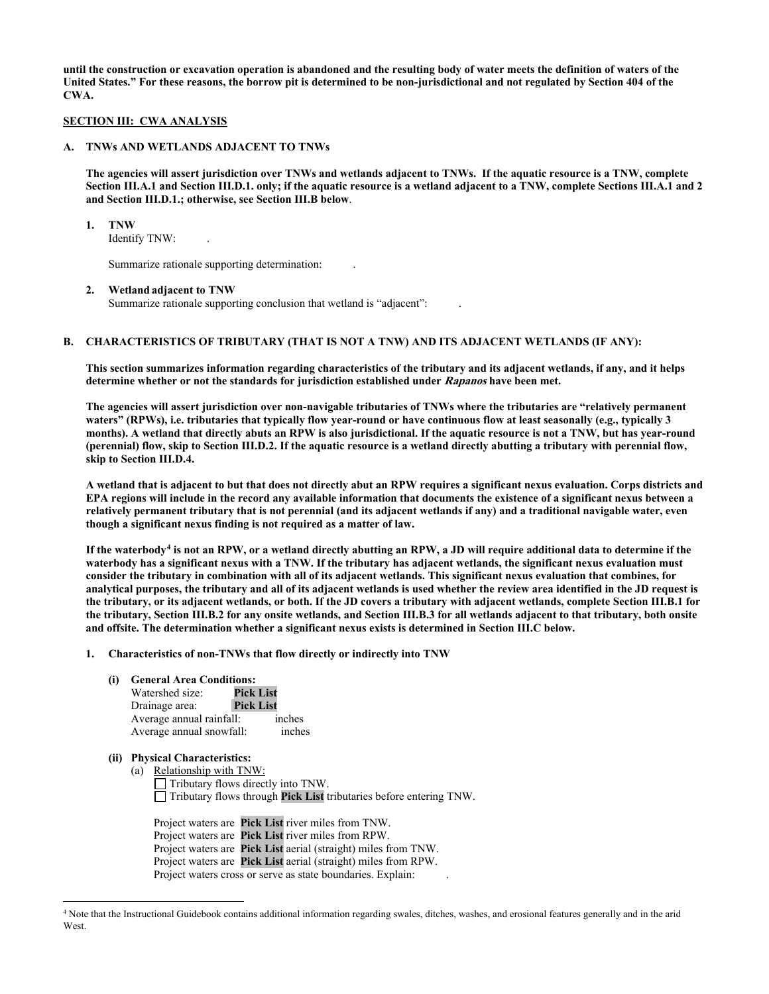**until the construction or excavation operation is abandoned and the resulting body of water meets the definition of waters of the United States." For these reasons, the borrow pit is determined to be non-jurisdictional and not regulated by Section 404 of the CWA.** 

#### **SECTION III: CWA ANALYSIS**

#### **A. TNWs AND WETLANDS ADJACENT TO TNWs**

 **and Section III.D.1.; otherwise, see Section III.B below**. **The agencies will assert jurisdiction over TNWs and wetlands adjacent to TNWs. If the aquatic resource is a TNW, complete Section III.A.1 and Section III.D.1. only; if the aquatic resource is a wetland adjacent to a TNW, complete Sections III.A.1 and 2** 

#### **1. TNW**

Identify TNW: .

Summarize rationale supporting determination:  $\qquad \qquad$ .

## **2. Wetland adjacent to TNW**

Summarize rationale supporting conclusion that wetland is "adjacent": .

# **B. CHARACTERISTICS OF TRIBUTARY (THAT IS NOT A TNW) AND ITS ADJACENT WETLANDS (IF ANY):**

**This section summarizes information regarding characteristics of the tributary and its adjacent wetlands, if any, and it helps determine whether or not the standards for jurisdiction established under Rapanos have been met.** 

skip to Section III.D.4. **The agencies will assert jurisdiction over non-navigable tributaries of TNWs where the tributaries are "relatively permanent waters" (RPWs), i.e. tributaries that typically flow year-round or have continuous flow at least seasonally (e.g., typically 3 months). A wetland that directly abuts an RPW is also jurisdictional. If the aquatic resource is not a TNW, but has year-round (perennial) flow, skip to Section III.D.2. If the aquatic resource is a wetland directly abutting a tributary with perennial flow,** 

**skip to Section III.D.4. A wetland that is adjacent to but that does not directly abut an RPW requires a significant nexus evaluation. Corps districts and EPA regions will include in the record any available information that documents the existence of a significant nexus between a relatively permanent tributary that is not perennial (and its adjacent wetlands if any) and a traditional navigable water, even though a significant nexus finding is not required as a matter of law.** 

 **If the waterbody[4](#page-1-0) is not an RPW, or a wetland directly abutting an RPW, a JD will require additional data to determine if the consider the tributary in combination with all of its adjacent wetlands. This significant nexus evaluation that combines, for analytical purposes, the tributary and all of its adjacent wetlands is used whether the review area identified in the JD request is the tributary, Section III.B.2 for any onsite wetlands, and Section III.B.3 for all wetlands adjacent to that tributary, both onsite**  and offsite. The determination whether a significant nexus exists is determined in Section III.C below.<br>1. Characteristics of non-TNWs that flow directly or indirectly into TNW **waterbody has a significant nexus with a TNW. If the tributary has adjacent wetlands, the significant nexus evaluation must the tributary, or its adjacent wetlands, or both. If the JD covers a tributary with adjacent wetlands, complete Section III.B.1 for** 

- - **(i) General Area Conditions:**

| Watershed size:          | <b>Pick List</b> |        |
|--------------------------|------------------|--------|
| Drainage area:           | <b>Pick List</b> |        |
| Average annual rainfall: |                  | inches |
| Average annual snowfall: |                  | inches |

# **(ii) Physical Characteristics:**

■ Tributary flows through **Pick List** tributaries before entering TNW. □ Tributary flows through **Pick List** tributaries before entering TNW. Project waters are **Pick List** river miles from TNW. (a) Relationship with TNW:  $\Box$  Tributary flows directly into TNW.

Project waters are Pick List river miles from TNW. Project waters are **Pick List** river miles from RPW. Project waters are **Pick List** aerial (straight) miles from TNW. Project waters are **Pick List** aerial (straight) miles from RPW. Project waters cross or serve as state boundaries. Explain:

<span id="page-1-0"></span><sup>4</sup> Note that the Instructional Guidebook contains additional information regarding swales, ditches, washes, and erosional features generally and in the arid **West**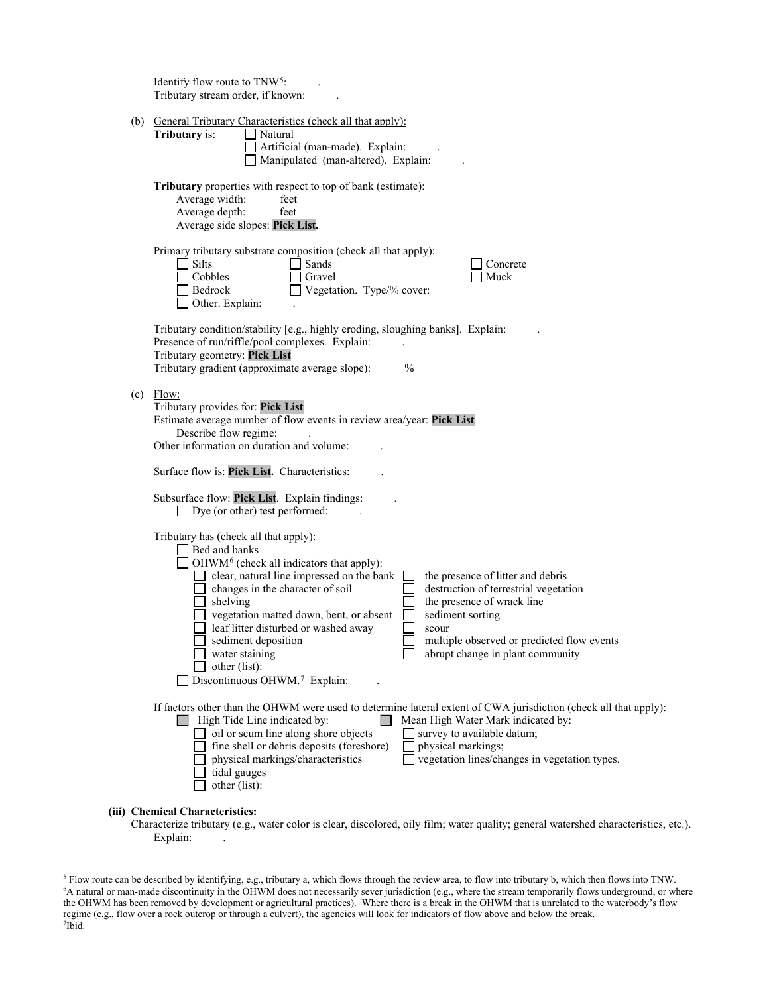|  | Identify flow route to TNW <sup>5</sup> :<br>Tributary stream order, if known:                                                                                                                                                                                                                                                                                                                                                                                                                                                                                                                                                            |
|--|-------------------------------------------------------------------------------------------------------------------------------------------------------------------------------------------------------------------------------------------------------------------------------------------------------------------------------------------------------------------------------------------------------------------------------------------------------------------------------------------------------------------------------------------------------------------------------------------------------------------------------------------|
|  | (b) General Tributary Characteristics (check all that apply):<br>Tributary is:<br>Natural<br>Artificial (man-made). Explain:<br>Manipulated (man-altered). Explain:                                                                                                                                                                                                                                                                                                                                                                                                                                                                       |
|  | Tributary properties with respect to top of bank (estimate):<br>Average width:<br>feet<br>Average depth:<br>feet<br>Average side slopes: Pick List.                                                                                                                                                                                                                                                                                                                                                                                                                                                                                       |
|  | Primary tributary substrate composition (check all that apply):<br>Silts<br>Sands<br>Concrete<br>Cobbles<br>Muck<br>Gravel<br>Vegetation. Type/% cover:<br>Bedrock<br>Other. Explain:                                                                                                                                                                                                                                                                                                                                                                                                                                                     |
|  | Tributary condition/stability [e.g., highly eroding, sloughing banks]. Explain:<br>Presence of run/riffle/pool complexes. Explain:<br>Tributary geometry: Pick List<br>Tributary gradient (approximate average slope):<br>$\frac{0}{0}$                                                                                                                                                                                                                                                                                                                                                                                                   |
|  | $(c)$ Flow:<br>Tributary provides for: Pick List<br>Estimate average number of flow events in review area/year: Pick List<br>Describe flow regime:<br>Other information on duration and volume:<br>Surface flow is: Pick List. Characteristics:                                                                                                                                                                                                                                                                                                                                                                                           |
|  | Subsurface flow: Pick List. Explain findings:<br>$\Box$ Dye (or other) test performed:                                                                                                                                                                                                                                                                                                                                                                                                                                                                                                                                                    |
|  | Tributary has (check all that apply):<br>□ Bed and banks<br>OHWM <sup>6</sup> (check all indicators that apply):<br>clear, natural line impressed on the bank<br>the presence of litter and debris<br>changes in the character of soil<br>destruction of terrestrial vegetation<br>the presence of wrack line<br>shelving<br>vegetation matted down, bent, or absent<br>sediment sorting<br>leaf litter disturbed or washed away<br>scour<br>sediment deposition<br>multiple observed or predicted flow events<br>abrupt change in plant community<br>water staining<br>other (list):<br>$\Box$ Discontinuous OHWM. <sup>7</sup> Explain: |
|  | If factors other than the OHWM were used to determine lateral extent of CWA jurisdiction (check all that apply):<br>$\Box$ High Tide Line indicated by:<br>Mean High Water Mark indicated by:<br>oil or scum line along shore objects<br>survey to available datum;<br>fine shell or debris deposits (foreshore)<br>physical markings;<br>vegetation lines/changes in vegetation types.<br>physical markings/characteristics<br>tidal gauges<br>other (list):                                                                                                                                                                             |
|  | (iii) Chemical Characteristics:                                                                                                                                                                                                                                                                                                                                                                                                                                                                                                                                                                                                           |

 Explain: . Characterize tributary (e.g., water color is clear, discolored, oily film; water quality; general watershed characteristics, etc.).

<span id="page-2-2"></span><span id="page-2-1"></span><span id="page-2-0"></span><sup>&</sup>lt;sup>5</sup> Flow route can be described by identifying, e.g., tributary a, which flows through the review area, to flow into tributary b, which then flows into TNW.<br><sup>6</sup>A natural or man-made discontinuity in the OHWM does not neces the OHWM has been removed by development or agricultural practices). Where there is a break in the OHWM that is unrelated to the waterbody's flow regime (e.g., flow over a rock outcrop or through a culvert), the agencies will look for indicators of flow above and below the break. 7 Ibid.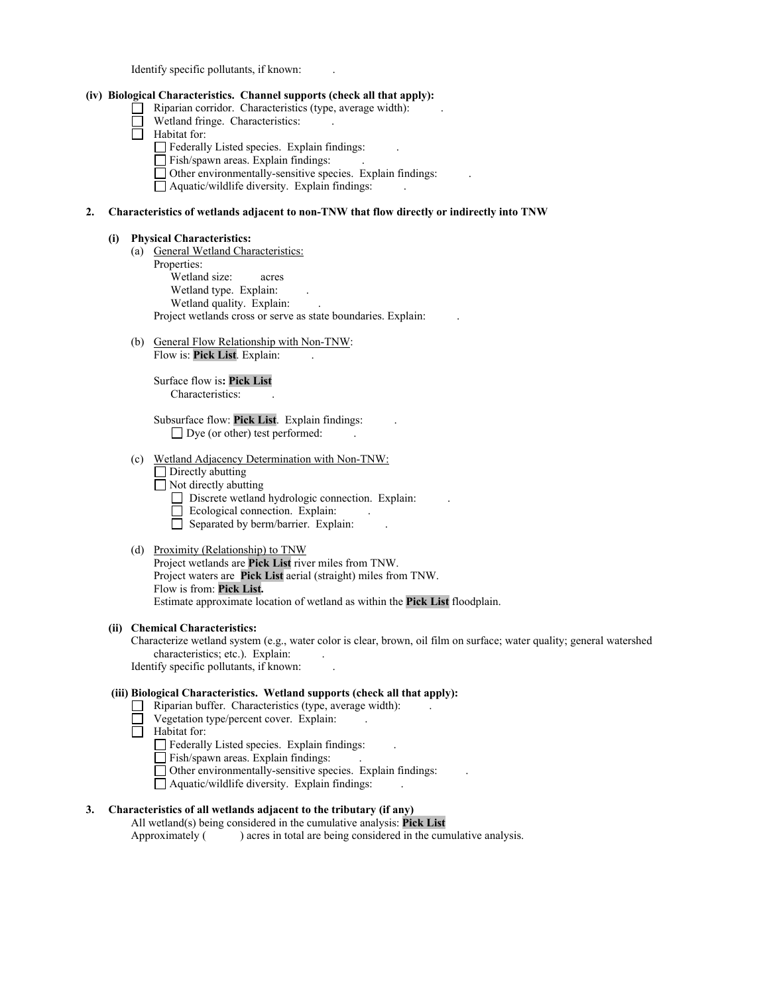Identify specific pollutants, if known: .

#### **(iv) Biological Characteristics. Channel supports (check all that apply):**

- □  $\Box$  Riparian corridor. Characteristics (type, average width):
- $\Box$  Wetland fringe. Characteristics:  $\Box$ .
- □ Habitat for:
	- Federally Listed species. Explain findings: .
	- □ Federally Eisted species. Explain findings.<br>□ Fish/spawn areas. Explain findings:
	- □ Than spawn areas. Explain findings.<br>□ Other environmentally-sensitive species. Explain findings: □
	- □ Aquatic/wildlife diversity. Explain findings: .

#### **2. Characteristics of wetlands adjacent to non-TNW that flow directly or indirectly into TNW**

#### **(i) Physical Characteristics:**

- (a) General Wetland Characteristics:
	- Properties: Wetland size: acres Wetland type. Explain: Wetland quality. Explain: Project wetlands cross or serve as state boundaries. Explain: .
- (b) General Flow Relationship with Non-TNW: Flow is: Pick List. Explain:

Surface flow is**: Pick List**  Characteristics: .

□ Dye (or other) test performed: . Subsurface flow: **Pick List**. Explain findings: .

- (c) Wetland Adjacency Determination with Non-TNW:
	- $\Box$  Directly abutting
	- □ Directly abutting<br>□ Not directly abutting
	- $\Box$  Not different wetland hydrologic connection. Explain: .
		- 는 ' Ecological connection. Explain:
		- □ Separated by berm/barrier. Explain: .

#### (d) Proximity (Relationship) to TNW

Project wetlands are **Pick List** river miles from TNW. Project waters are **Pick List** aerial (straight) miles from TNW. Flow is from: **Pick List.**  Estimate approximate location of wetland as within the **Pick List** floodplain.

#### **(ii) Chemical Characteristics:**

 Characterize wetland system (e.g., water color is clear, brown, oil film on surface; water quality; general watershed characteristics; etc.). Explain: . Identify specific pollutants, if known: .

#### **(iii) Biological Characteristics. Wetland supports (check all that apply):**

- $\Box$  Riparian buffer. Characteristics (type, average width):
- 는 . Vegetation type/percent cover. Explain: .
- □ Habitat for:
	- Federally Listed species. Explain findings:
	- □ Federary Ersted species. Explain findings.<br>□ Fish/spawn areas. Explain findings:
	- □ Fish/spawn areas. Explain midings.<br>□ Other environmentally-sensitive species. Explain findings: a)
	- □ Aquatic/wildlife diversity. Explain findings: .

# **3. Characteristics of all wetlands adjacent to the tributary (if any)**

All wetland(s) being considered in the cumulative analysis: **Pick List** 

Approximately ( ) acres in total are being considered in the cumulative analysis.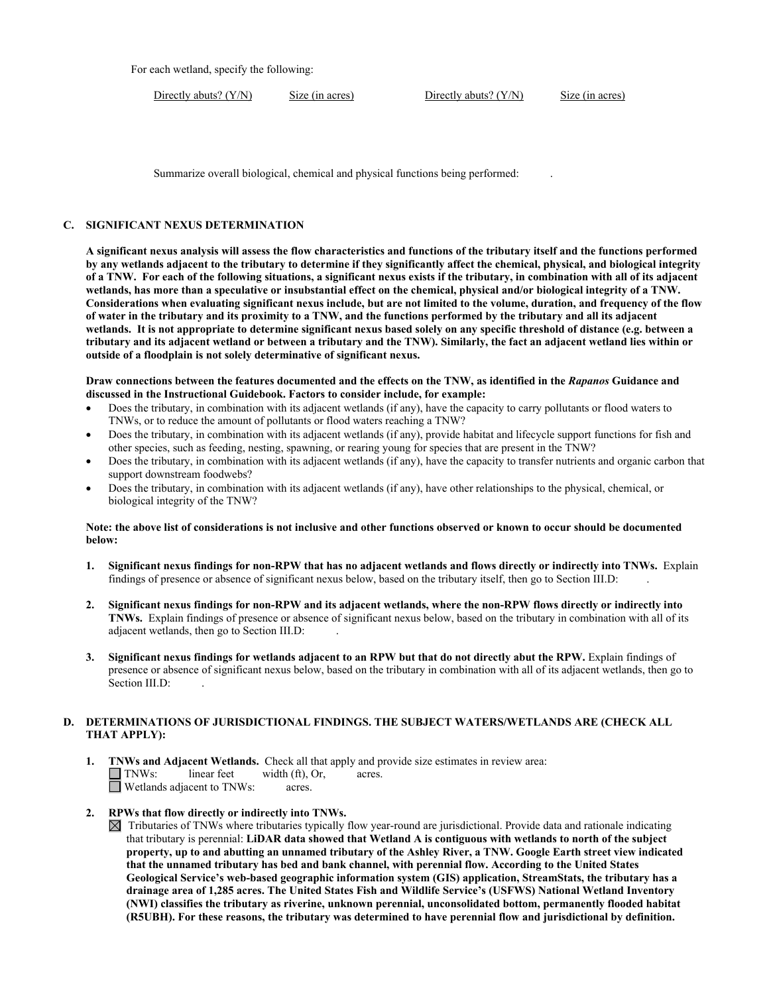For each wetland, specify the following:

Directly abuts? (Y/N) Size (in acres) Directly abuts? (Y/N) Size (in acres)

Summarize overall biological, chemical and physical functions being performed: .

#### **C. SIGNIFICANT NEXUS DETERMINATION**

 **of a TNW. For each of the following situations, a significant nexus exists if the tributary, in combination with all of its adjacent A significant nexus analysis will assess the flow characteristics and functions of the tributary itself and the functions performed by any wetlands adjacent to the tributary to determine if they significantly affect the chemical, physical, and biological integrity wetlands, has more than a speculative or insubstantial effect on the chemical, physical and/or biological integrity of a TNW. Considerations when evaluating significant nexus include, but are not limited to the volume, duration, and frequency of the flow of water in the tributary and its proximity to a TNW, and the functions performed by the tributary and all its adjacent wetlands. It is not appropriate to determine significant nexus based solely on any specific threshold of distance (e.g. between a tributary and its adjacent wetland or between a tributary and the TNW). Similarly, the fact an adjacent wetland lies within or outside of a floodplain is not solely determinative of significant nexus.** 

 **discussed in the Instructional Guidebook. Factors to consider include, for example: Draw connections between the features documented and the effects on the TNW, as identified in the** *Rapanos* **Guidance and** 

- TNWs, or to reduce the amount of pollutants or flood waters reaching a TNW? • Does the tributary, in combination with its adjacent wetlands (if any), have the capacity to carry pollutants or flood waters to
- • Does the tributary, in combination with its adjacent wetlands (if any), provide habitat and lifecycle support functions for fish and other species, such as feeding, nesting, spawning, or rearing young for species that are present in the TNW?
- • Does the tributary, in combination with its adjacent wetlands (if any), have the capacity to transfer nutrients and organic carbon that support downstream foodwebs?
- Does the tributary, in combination with its adjacent wetlands (if any), have other relationships to the physical, chemical, or biological integrity of the TNW?

#### **Note: the above list of considerations is not inclusive and other functions observed or known to occur should be documented below:**

- findings of presence or absence of significant nexus below, based on the tributary itself, then go to Section III.D: . **1. Significant nexus findings for non-RPW that has no adjacent wetlands and flows directly or indirectly into TNWs.** Explain
- **2. Significant nexus findings for non-RPW and its adjacent wetlands, where the non-RPW flows directly or indirectly into TNWs.** Explain findings of presence or absence of significant nexus below, based on the tributary in combination with all of its adjacent wetlands, then go to Section III.D: .
- **3. Significant nexus findings for wetlands adjacent to an RPW but that do not directly abut the RPW.** Explain findings of presence or absence of significant nexus below, based on the tributary in combination with all of its adjacent wetlands, then go to Section III.D:

# **D. DETERMINATIONS OF JURISDICTIONAL FINDINGS. THE SUBJECT WATERS/WETLANDS ARE (CHECK ALL THAT APPLY):**

 **1. TNWs and Adjacent Wetlands.** Check all that apply and provide size estimates in review area: The Thus Separate Contract Contract Contract Contract Contract Contract Contract Contract Contract Contract Contract Contract Contract Contract Contract Contract Contract Contract Contract Contract Contract Contract Contra TNWs: linear feet width (ft), Or, acres.

# **2. RPWs that flow directly or indirectly into TNWs.**

 $\boxtimes$  Tributaries of TNWs where tributaries typically flow year-round are jurisdictional. Provide data and rationale indicating that tributary is perennial: **LiDAR data showed that Wetland A is contiguous with wetlands to north of the subject property, up to and abutting an unnamed tributary of the Ashley River, a TNW. Google Earth street view indicated that the unnamed tributary has bed and bank channel, with perennial flow. According to the United States Geological Service's web-based geographic information system (GIS) application, StreamStats, the tributary has a drainage area of 1,285 acres. The United States Fish and Wildlife Service's (USFWS) National Wetland Inventory (NWI) classifies the tributary as riverine, unknown perennial, unconsolidated bottom, permanently flooded habitat (R5UBH). For these reasons, the tributary was determined to have perennial flow and jurisdictional by definition.**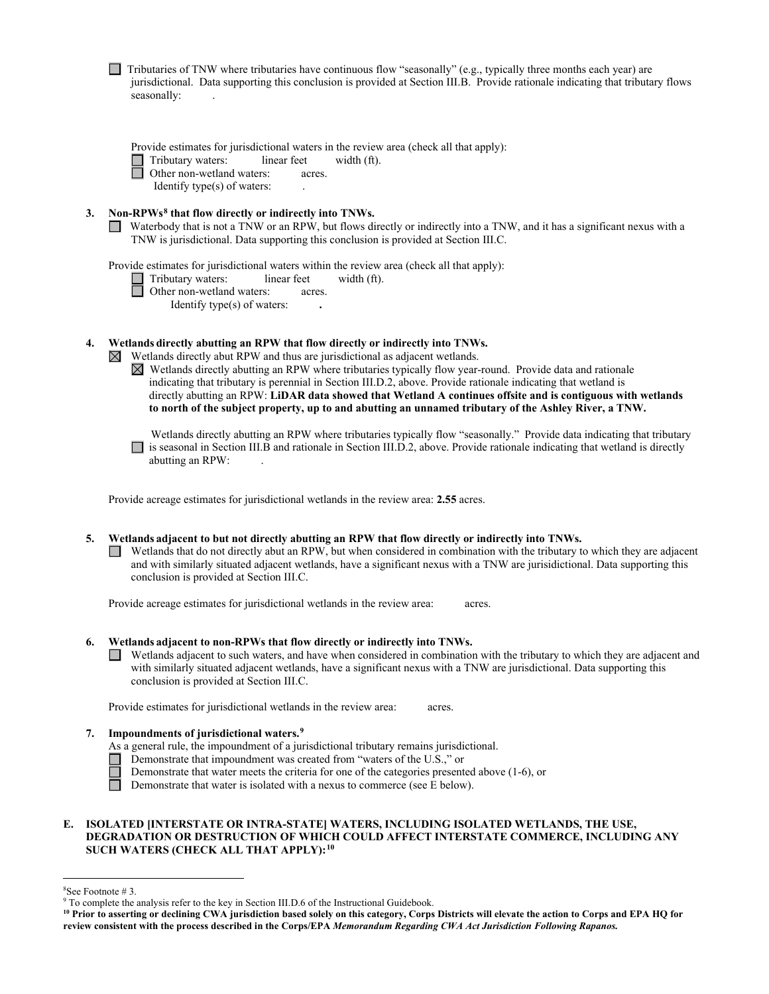|    | Tributaries of TNW where tributaries have continuous flow "seasonally" (e.g., typically three months each year) are<br>jurisdictional. Data supporting this conclusion is provided at Section III.B. Provide rationale indicating that tributary flows<br>seasonally:                                                                                                                                                                                                                                                                                                                                                                            |
|----|--------------------------------------------------------------------------------------------------------------------------------------------------------------------------------------------------------------------------------------------------------------------------------------------------------------------------------------------------------------------------------------------------------------------------------------------------------------------------------------------------------------------------------------------------------------------------------------------------------------------------------------------------|
|    | Provide estimates for jurisdictional waters in the review area (check all that apply):<br>Tributary waters:<br>linear feet<br>width (ft).<br>Other non-wetland waters:<br>acres.<br>Identify type(s) of waters:                                                                                                                                                                                                                                                                                                                                                                                                                                  |
| 3. | Non-RPWs <sup>8</sup> that flow directly or indirectly into TNWs.<br>Waterbody that is not a TNW or an RPW, but flows directly or indirectly into a TNW, and it has a significant nexus with a<br>TNW is jurisdictional. Data supporting this conclusion is provided at Section III.C.                                                                                                                                                                                                                                                                                                                                                           |
|    | Provide estimates for jurisdictional waters within the review area (check all that apply):<br>Tributary waters:<br>linear feet<br>width (ft).<br>Other non-wetland waters:<br>acres.<br>Identify type(s) of waters:                                                                                                                                                                                                                                                                                                                                                                                                                              |
| 4. | Wetlands directly abutting an RPW that flow directly or indirectly into TNWs.<br>Wetlands directly abut RPW and thus are jurisdictional as adjacent wetlands.<br>$\boxtimes$<br>$\boxtimes$ Wetlands directly abutting an RPW where tributaries typically flow year-round. Provide data and rationale<br>indicating that tributary is perennial in Section III.D.2, above. Provide rationale indicating that wetland is<br>directly abutting an RPW: LiDAR data showed that Wetland A continues offsite and is contiguous with wetlands<br>to north of the subject property, up to and abutting an unnamed tributary of the Ashley River, a TNW. |
|    | Wetlands directly abutting an RPW where tributaries typically flow "seasonally." Provide data indicating that tributary<br>is seasonal in Section III.B and rationale in Section III.D.2, above. Provide rationale indicating that wetland is directly<br>abutting an RPW:                                                                                                                                                                                                                                                                                                                                                                       |
|    | Provide acreage estimates for jurisdictional wetlands in the review area: 2.55 acres.                                                                                                                                                                                                                                                                                                                                                                                                                                                                                                                                                            |
| 5. | Wetlands adjacent to but not directly abutting an RPW that flow directly or indirectly into TNWs.<br>Wetlands that do not directly abut an RPW, but when considered in combination with the tributary to which they are adjacent<br>and with similarly situated adjacent wetlands, have a significant nexus with a TNW are jurisidictional. Data supporting this<br>conclusion is provided at Section III.C.                                                                                                                                                                                                                                     |
|    | Provide acreage estimates for jurisdictional wetlands in the review area:<br>acres.                                                                                                                                                                                                                                                                                                                                                                                                                                                                                                                                                              |
| 6. | Wetlands adjacent to non-RPWs that flow directly or indirectly into TNWs.<br>Wetlands adjacent to such waters, and have when considered in combination with the tributary to which they are adjacent and<br>with similarly situated adjacent wetlands, have a significant nexus with a TNW are jurisdictional. Data supporting this<br>conclusion is provided at Section III.C.                                                                                                                                                                                                                                                                  |
|    | Provide estimates for jurisdictional wetlands in the review area:<br>acres.                                                                                                                                                                                                                                                                                                                                                                                                                                                                                                                                                                      |
| 7. | Impoundments of jurisdictional waters. <sup>9</sup><br>As a general rule, the impoundment of a jurisdictional tributary remains jurisdictional.<br>Demonstrate that impoundment was created from "waters of the U.S.," or<br>Demonstrate that water meets the criteria for one of the categories presented above $(1-6)$ , or<br>Demonstrate that water is isolated with a nexus to commerce (see E below).                                                                                                                                                                                                                                      |

## **E. ISOLATED [INTERSTATE OR INTRA-STATE] WATERS, INCLUDING ISOLATED WETLANDS, THE USE, DEGRADATION OR DESTRUCTION OF WHICH COULD AFFECT INTERSTATE COMMERCE, INCLUDING ANY SUCH WATERS (CHECK ALL THAT APPLY):[10](#page-5-2)**

<sup>&</sup>lt;sup>8</sup>See Footnote #3.

<span id="page-5-1"></span><span id="page-5-0"></span> $^9$  To complete the analysis refer to the key in Section III.D.6 of the Instructional Guidebook.

<span id="page-5-2"></span> **review consistent with the process described in the Corps/EPA** *Memorandum Regarding CWA Act Jurisdiction Following Rapanos.* **10 Prior to asserting or declining CWA jurisdiction based solely on this category, Corps Districts will elevate the action to Corps and EPA HQ for**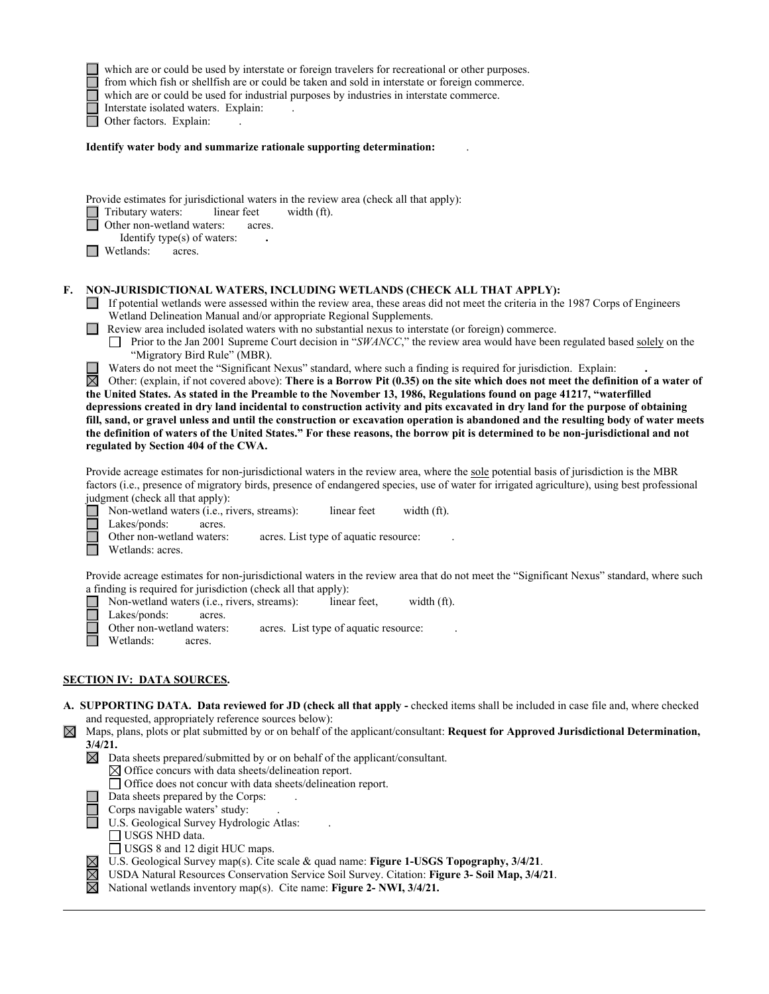|             | which are or could be used by interstate or foreign travelers for recreational or other purposes.<br>from which fish or shellfish are or could be taken and sold in interstate or foreign commerce.<br>which are or could be used for industrial purposes by industries in interstate commerce.<br>Interstate isolated waters. Explain:<br>Other factors. Explain:                                                                                                                                                                                                                                                                                                                                                                                                                                                                                                                                                                                                                                                                                                                                                                                                                                                                                                                                                                                                                                      |
|-------------|---------------------------------------------------------------------------------------------------------------------------------------------------------------------------------------------------------------------------------------------------------------------------------------------------------------------------------------------------------------------------------------------------------------------------------------------------------------------------------------------------------------------------------------------------------------------------------------------------------------------------------------------------------------------------------------------------------------------------------------------------------------------------------------------------------------------------------------------------------------------------------------------------------------------------------------------------------------------------------------------------------------------------------------------------------------------------------------------------------------------------------------------------------------------------------------------------------------------------------------------------------------------------------------------------------------------------------------------------------------------------------------------------------|
|             | Identify water body and summarize rationale supporting determination:                                                                                                                                                                                                                                                                                                                                                                                                                                                                                                                                                                                                                                                                                                                                                                                                                                                                                                                                                                                                                                                                                                                                                                                                                                                                                                                                   |
|             | Provide estimates for jurisdictional waters in the review area (check all that apply):<br>Tributary waters:<br>linear feet<br>width (ft).<br>Other non-wetland waters:<br>acres.<br>Identify type(s) of waters:<br>Wetlands:<br>acres.                                                                                                                                                                                                                                                                                                                                                                                                                                                                                                                                                                                                                                                                                                                                                                                                                                                                                                                                                                                                                                                                                                                                                                  |
| F.          | NON-JURISDICTIONAL WATERS, INCLUDING WETLANDS (CHECK ALL THAT APPLY):<br>If potential wetlands were assessed within the review area, these areas did not meet the criteria in the 1987 Corps of Engineers<br>Wetland Delineation Manual and/or appropriate Regional Supplements.<br>Review area included isolated waters with no substantial nexus to interstate (or foreign) commerce.<br>Prior to the Jan 2001 Supreme Court decision in "SWANCC," the review area would have been regulated based solely on the<br>"Migratory Bird Rule" (MBR).<br>Waters do not meet the "Significant Nexus" standard, where such a finding is required for jurisdiction. Explain:<br>$\boxtimes$<br>Other: (explain, if not covered above): There is a Borrow Pit (0.35) on the site which does not meet the definition of a water of<br>the United States. As stated in the Preamble to the November 13, 1986, Regulations found on page 41217, "waterfilled<br>depressions created in dry land incidental to construction activity and pits excavated in dry land for the purpose of obtaining<br>fill, sand, or gravel unless and until the construction or excavation operation is abandoned and the resulting body of water meets<br>the definition of waters of the United States." For these reasons, the borrow pit is determined to be non-jurisdictional and not<br>regulated by Section 404 of the CWA. |
|             | Provide acreage estimates for non-jurisdictional waters in the review area, where the sole potential basis of jurisdiction is the MBR<br>factors (i.e., presence of migratory birds, presence of endangered species, use of water for irrigated agriculture), using best professional<br>judgment (check all that apply):<br>Non-wetland waters (i.e., rivers, streams):<br>linear feet<br>width (ft).<br>Lakes/ponds:<br>acres.<br>Other non-wetland waters:<br>acres. List type of aquatic resource:<br>Wetlands: acres.<br>Provide acreage estimates for non-jurisdictional waters in the review area that do not meet the "Significant Nexus" standard, where such<br>a finding is required for jurisdiction (check all that apply):<br>Non-wetland waters (i.e., rivers, streams):<br>linear feet,<br>width (ft).<br>Lakes/ponds:<br>acres.<br>Other non-wetland waters: acres. List type of aquatic resource:<br>Wetlands:<br>acres.                                                                                                                                                                                                                                                                                                                                                                                                                                                              |
|             | <b>SECTION IV: DATA SOURCES.</b>                                                                                                                                                                                                                                                                                                                                                                                                                                                                                                                                                                                                                                                                                                                                                                                                                                                                                                                                                                                                                                                                                                                                                                                                                                                                                                                                                                        |
| $\boxtimes$ | A. SUPPORTING DATA. Data reviewed for JD (check all that apply - checked items shall be included in case file and, where checked<br>and requested, appropriately reference sources below):<br>Maps, plans, plots or plat submitted by or on behalf of the applicant/consultant: Request for Approved Jurisdictional Determination,<br>$3/4/21$ .<br>$\boxtimes$<br>Data sheets prepared/submitted by or on behalf of the applicant/consultant.<br>$\boxtimes$ Office concurs with data sheets/delineation report.<br>Office does not concur with data sheets/delineation report.<br>Data sheets prepared by the Corps:<br>Corps navigable waters' study:<br>U.S. Geological Survey Hydrologic Atlas:<br>USGS NHD data.<br>USGS 8 and 12 digit HUC maps.<br>U.S. Geological Survey map(s). Cite scale & quad name: Figure 1-USGS Topography, 3/4/21.<br>$\boxtimes$<br>$\boxtimes$<br>USDA Natural Resources Conservation Service Soil Survey. Citation: Figure 3- Soil Map, 3/4/21.<br>National wetlands inventory map(s). Cite name: Figure 2- NWI, 3/4/21.                                                                                                                                                                                                                                                                                                                                            |